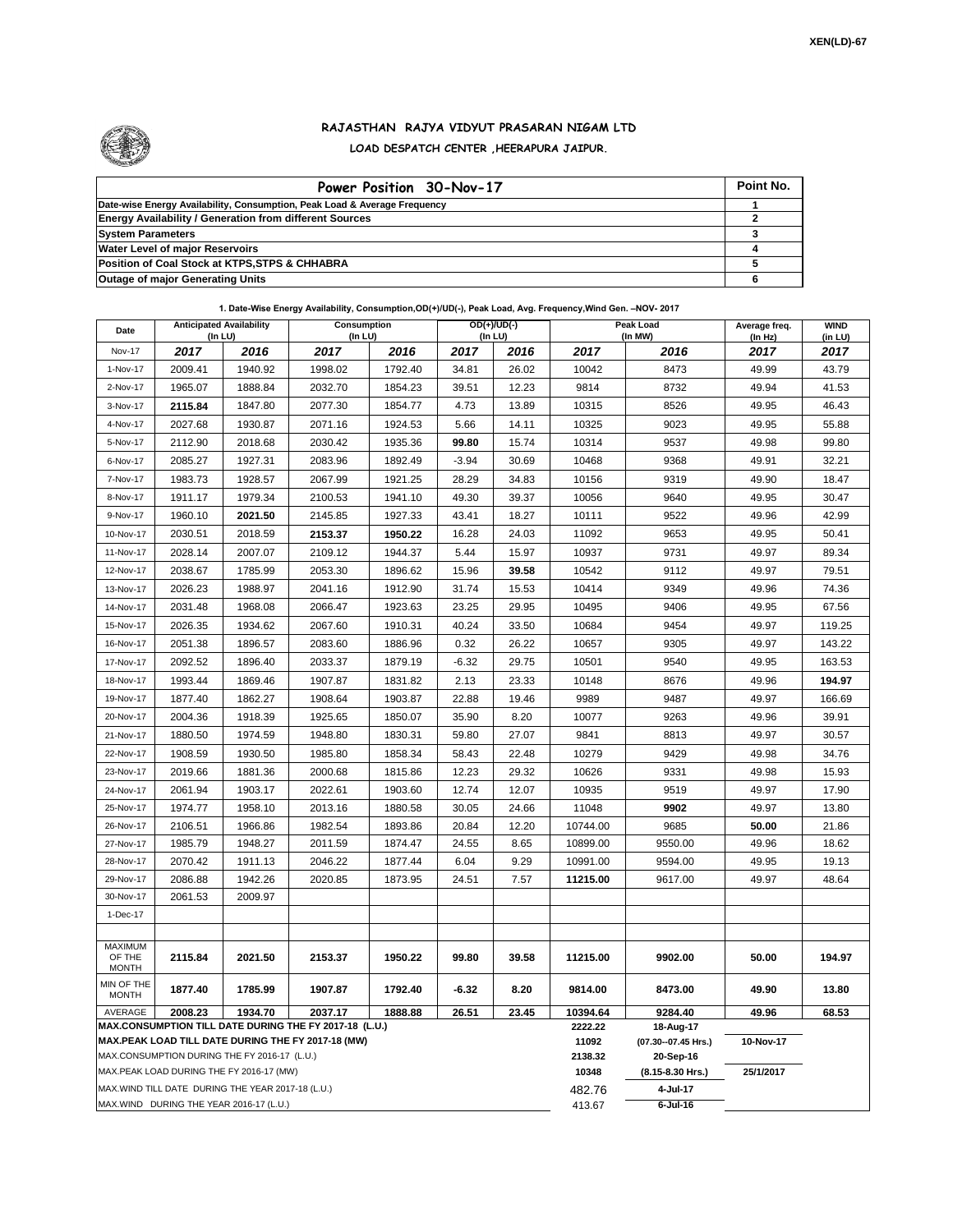

## **RAJASTHAN RAJYA VIDYUT PRASARAN NIGAM LTD LOAD DESPATCH CENTER ,HEERAPURA JAIPUR.**

| Power Position 30-Nov-17                                                  | Point No. |
|---------------------------------------------------------------------------|-----------|
| Date-wise Energy Availability, Consumption, Peak Load & Average Frequency |           |
| <b>Energy Availability / Generation from different Sources</b>            |           |
| <b>System Parameters</b>                                                  |           |
| <b>Water Level of major Reservoirs</b>                                    |           |
| Position of Coal Stock at KTPS, STPS & CHHABRA                            |           |
| <b>Outage of major Generating Units</b>                                   |           |

## **1. Date-Wise Energy Availability, Consumption,OD(+)/UD(-), Peak Load, Avg. Frequency,Wind Gen. –NOV- 2017**

| Date                                         | <b>Anticipated Availability</b><br>$($ In LU $)$   |         | Consumption<br>(In LU)                                            |                    |                                  | $OD(+)/UD(-)$<br>(In LU) | Peak Load<br>(In MW) |                  | Average freq.<br>(In Hz) | <b>WIND</b><br>(in LU) |
|----------------------------------------------|----------------------------------------------------|---------|-------------------------------------------------------------------|--------------------|----------------------------------|--------------------------|----------------------|------------------|--------------------------|------------------------|
| <b>Nov-17</b>                                | 2017                                               | 2016    | 2017                                                              | 2016               | 2017                             | 2016                     | 2017                 | 2016             | 2017                     | 2017                   |
| 1-Nov-17                                     | 2009.41                                            | 1940.92 | 1998.02                                                           | 1792.40            | 34.81                            | 26.02                    | 10042                | 8473             | 49.99                    | 43.79                  |
| 2-Nov-17                                     | 1965.07                                            | 1888.84 | 2032.70                                                           | 1854.23            | 39.51                            | 12.23                    | 9814                 | 8732             | 49.94                    | 41.53                  |
| 3-Nov-17                                     | 2115.84                                            | 1847.80 | 2077.30                                                           | 1854.77            | 4.73                             | 13.89                    | 10315                | 8526             | 49.95                    | 46.43                  |
| 4-Nov-17                                     | 2027.68                                            | 1930.87 | 2071.16                                                           | 1924.53            | 5.66                             | 14.11                    | 10325                | 9023             | 49.95                    | 55.88                  |
| 5-Nov-17                                     | 2112.90                                            | 2018.68 | 2030.42                                                           | 1935.36            | 99.80                            | 15.74                    | 10314                | 9537             | 49.98                    | 99.80                  |
| 6-Nov-17                                     | 2085.27                                            | 1927.31 | 2083.96                                                           | 1892.49            | $-3.94$                          | 30.69                    | 10468                | 9368             | 49.91                    | 32.21                  |
| 7-Nov-17                                     | 1983.73                                            | 1928.57 | 2067.99                                                           | 1921.25            | 28.29                            | 34.83                    | 10156                | 9319             | 49.90                    | 18.47                  |
| 8-Nov-17                                     | 1911.17                                            | 1979.34 | 2100.53                                                           | 1941.10            | 49.30                            | 39.37                    | 10056                | 9640             | 49.95                    | 30.47                  |
| 9-Nov-17                                     | 1960.10                                            | 2021.50 | 2145.85                                                           | 1927.33            | 43.41                            | 18.27                    | 10111                | 9522             | 49.96                    | 42.99                  |
| 10-Nov-17                                    | 2030.51                                            | 2018.59 | 2153.37                                                           | 1950.22            | 16.28                            | 24.03                    | 11092                | 9653             | 49.95                    | 50.41                  |
| 11-Nov-17                                    | 2028.14                                            | 2007.07 | 2109.12                                                           | 1944.37            | 5.44                             | 15.97                    | 10937                | 9731             | 49.97                    | 89.34                  |
| 12-Nov-17                                    | 2038.67                                            | 1785.99 | 2053.30                                                           | 1896.62            | 15.96                            | 39.58                    | 10542                | 9112             | 49.97                    | 79.51                  |
| 13-Nov-17                                    | 2026.23                                            | 1988.97 | 2041.16                                                           | 1912.90            | 31.74                            | 15.53                    | 10414                | 9349             | 49.96                    | 74.36                  |
| 14-Nov-17                                    | 2031.48                                            | 1968.08 | 2066.47                                                           | 1923.63            | 23.25                            | 29.95                    | 10495                | 9406             | 49.95                    | 67.56                  |
| 15-Nov-17                                    | 2026.35                                            | 1934.62 | 2067.60                                                           | 1910.31            | 40.24                            | 33.50                    | 10684                | 9454             | 49.97                    | 119.25                 |
| 16-Nov-17                                    | 2051.38                                            | 1896.57 | 2083.60                                                           | 1886.96            | 0.32                             | 26.22                    | 10657                | 9305             | 49.97                    | 143.22                 |
| 17-Nov-17                                    | 2092.52                                            | 1896.40 | 2033.37                                                           | 1879.19            | $-6.32$                          | 29.75                    | 10501                | 9540             | 49.95                    | 163.53                 |
| 18-Nov-17                                    | 1993.44                                            | 1869.46 | 1907.87                                                           | 1831.82            | 2.13                             | 23.33                    | 10148                | 8676             | 49.96                    | 194.97                 |
| 19-Nov-17                                    | 1877.40                                            | 1862.27 | 1908.64                                                           | 1903.87            | 22.88                            | 19.46                    | 9989                 | 9487             | 49.97                    | 166.69                 |
| 20-Nov-17                                    | 2004.36                                            | 1918.39 | 1925.65                                                           | 1850.07            | 35.90                            | 8.20                     | 10077                | 9263             | 49.96                    | 39.91                  |
| 21-Nov-17                                    | 1880.50                                            | 1974.59 | 1948.80                                                           | 1830.31            | 59.80                            | 27.07                    | 9841                 | 8813             | 49.97                    | 30.57                  |
| 22-Nov-17                                    | 1908.59                                            | 1930.50 | 1985.80                                                           | 1858.34            | 58.43                            | 22.48                    | 10279                | 9429             | 49.98                    | 34.76                  |
| 23-Nov-17                                    | 2019.66                                            | 1881.36 | 2000.68                                                           | 1815.86            | 12.23                            | 29.32                    | 10626                | 9331             | 49.98                    | 15.93                  |
| 24-Nov-17                                    | 2061.94                                            | 1903.17 | 2022.61                                                           | 1903.60            | 12.74                            | 12.07                    | 10935                | 9519             | 49.97                    | 17.90                  |
| 25-Nov-17                                    | 1974.77                                            | 1958.10 | 2013.16                                                           | 1880.58            | 30.05                            | 24.66                    | 11048                | 9902             | 49.97                    | 13.80                  |
| 26-Nov-17                                    | 2106.51                                            | 1966.86 | 1982.54                                                           | 1893.86            | 20.84                            | 12.20                    | 10744.00             | 9685             | 50.00                    | 21.86                  |
| 27-Nov-17                                    | 1985.79                                            | 1948.27 | 2011.59                                                           | 1874.47            | 24.55                            | 8.65                     | 10899.00             | 9550.00          | 49.96                    | 18.62                  |
| 28-Nov-17                                    | 2070.42                                            | 1911.13 | 2046.22                                                           | 1877.44            | 6.04                             | 9.29                     | 10991.00             | 9594.00          | 49.95                    | 19.13                  |
| 29-Nov-17                                    | 2086.88                                            | 1942.26 | 2020.85                                                           | 1873.95            | 24.51                            | 7.57                     | 11215.00             | 9617.00          | 49.97                    | 48.64                  |
| 30-Nov-17                                    | 2061.53                                            | 2009.97 |                                                                   |                    |                                  |                          |                      |                  |                          |                        |
| 1-Dec-17                                     |                                                    |         |                                                                   |                    |                                  |                          |                      |                  |                          |                        |
| <b>MAXIMUM</b>                               |                                                    |         |                                                                   |                    |                                  |                          |                      |                  |                          |                        |
| OF THE<br><b>MONTH</b>                       | 2115.84                                            | 2021.50 | 2153.37                                                           | 1950.22            | 99.80                            | 39.58                    | 11215.00             | 9902.00          | 50.00                    | 194.97                 |
| MIN OF THE<br><b>MONTH</b>                   | 1877.40                                            | 1785.99 | 1907.87                                                           | 1792.40<br>1888.88 | $-6.32$<br>26.51                 | 8.20<br>23.45            | 9814.00              | 8473.00          | 49.90                    | 13.80                  |
| AVERAGE                                      | 2008.23                                            | 1934.70 | 2037.17<br>MAX.CONSUMPTION TILL DATE DURING THE FY 2017-18 (L.U.) | 10394.64           | 9284.40                          | 49.96                    | 68.53                |                  |                          |                        |
|                                              |                                                    |         | MAX.PEAK LOAD TILL DATE DURING THE FY 2017-18 (MW)                | 2222.22<br>11092   | 18-Aug-17<br>(07.30--07.45 Hrs.) | 10-Nov-17                |                      |                  |                          |                        |
| MAX.CONSUMPTION DURING THE FY 2016-17 (L.U.) |                                                    |         |                                                                   |                    |                                  |                          |                      | 20-Sep-16        |                          |                        |
|                                              | MAX.PEAK LOAD DURING THE FY 2016-17 (MW)           |         |                                                                   |                    |                                  |                          | 10348                | (8.15-8.30 Hrs.) | 25/1/2017                |                        |
|                                              | MAX. WIND TILL DATE DURING THE YEAR 2017-18 (L.U.) |         |                                                                   |                    |                                  |                          | 482.76               | 4-Jul-17         |                          |                        |
|                                              | MAX.WIND DURING THE YEAR 2016-17 (L.U.)            |         |                                                                   | 413.67             | $6$ -Jul-16                      |                          |                      |                  |                          |                        |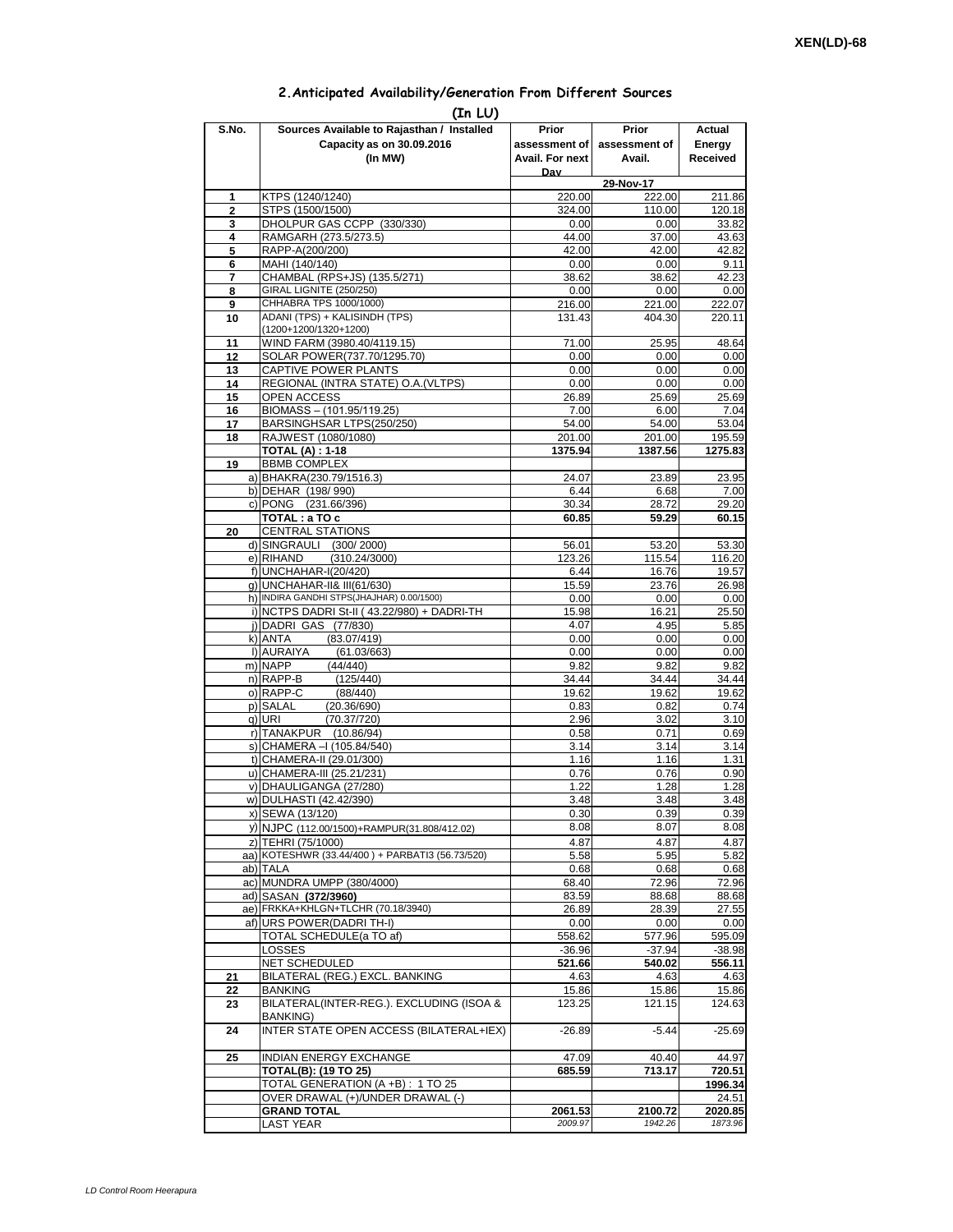## **2.Anticipated Availability/Generation From Different Sources**

| (In LU)        |                                                              |                 |                     |                   |  |  |  |  |  |  |
|----------------|--------------------------------------------------------------|-----------------|---------------------|-------------------|--|--|--|--|--|--|
| S.No.          | Sources Available to Rajasthan / Installed                   | Prior           | Prior               | Actual            |  |  |  |  |  |  |
|                | Capacity as on 30.09.2016                                    | assessment of I | assessment of       | Energy            |  |  |  |  |  |  |
|                | (In MW)                                                      | Avail. For next | Avail.              | Received          |  |  |  |  |  |  |
|                |                                                              | Dav             |                     |                   |  |  |  |  |  |  |
| 1              | KTPS (1240/1240)                                             | 220.00          | 29-Nov-17<br>222.00 | 211.86            |  |  |  |  |  |  |
| $\overline{2}$ | STPS (1500/1500)                                             | 324.00          | 110.00              | 120.18            |  |  |  |  |  |  |
| 3              | DHOLPUR GAS CCPP (330/330)                                   | 0.00            | 0.00                | 33.82             |  |  |  |  |  |  |
| 4              | RAMGARH (273.5/273.5)                                        | 44.00           | 37.00               | 43.63             |  |  |  |  |  |  |
| 5              | RAPP-A(200/200)                                              | 42.00           | 42.00               | 42.82             |  |  |  |  |  |  |
| 6              | MAHI (140/140)                                               | 0.00            | 0.00                | 9.11              |  |  |  |  |  |  |
| 7<br>8         | CHAMBAL (RPS+JS) (135.5/271)<br>GIRAL LIGNITE (250/250)      | 38.62<br>0.00   | 38.62<br>0.00       | 42.23<br>0.00     |  |  |  |  |  |  |
| 9              | CHHABRA TPS 1000/1000)                                       | 216.00          | 221.00              | 222.07            |  |  |  |  |  |  |
| 10             | ADANI (TPS) + KALISINDH (TPS)                                | 131.43          | 404.30              | 220.11            |  |  |  |  |  |  |
|                | (1200+1200/1320+1200)                                        |                 |                     |                   |  |  |  |  |  |  |
| 11             | WIND FARM (3980.40/4119.15)                                  | 71.00           | 25.95               | 48.64             |  |  |  |  |  |  |
| 12             | SOLAR POWER(737.70/1295.70)<br>CAPTIVE POWER PLANTS          | 0.00<br>0.00    | 0.00<br>0.00        | 0.00<br>0.00      |  |  |  |  |  |  |
| 13<br>14       | REGIONAL (INTRA STATE) O.A. (VLTPS)                          | 0.00            | 0.00                | 0.00              |  |  |  |  |  |  |
| 15             | <b>OPEN ACCESS</b>                                           | 26.89           | 25.69               | 25.69             |  |  |  |  |  |  |
| 16             | BIOMASS - (101.95/119.25)                                    | 7.00            | 6.00                | 7.04              |  |  |  |  |  |  |
| 17             | BARSINGHSAR LTPS(250/250)                                    | 54.00           | 54.00               | 53.04             |  |  |  |  |  |  |
| 18             | RAJWEST (1080/1080)                                          | 201.00          | 201.00              | 195.59            |  |  |  |  |  |  |
|                | <b>TOTAL (A): 1-18</b>                                       | 1375.94         | 1387.56             | 1275.83           |  |  |  |  |  |  |
| 19             | <b>BBMB COMPLEX</b><br>a) BHAKRA(230.79/1516.3)              | 24.07           | 23.89               | 23.95             |  |  |  |  |  |  |
|                | b) DEHAR (198/990)                                           | 6.44            | 6.68                | 7.00              |  |  |  |  |  |  |
|                | c) PONG (231.66/396)                                         | 30.34           | 28.72               | 29.20             |  |  |  |  |  |  |
|                | TOTAL: a TO c                                                | 60.85           | 59.29               | 60.15             |  |  |  |  |  |  |
| 20             | <b>CENTRAL STATIONS</b>                                      |                 |                     |                   |  |  |  |  |  |  |
|                | d) SINGRAULI (300/2000)                                      | 56.01           | 53.20               | 53.30             |  |  |  |  |  |  |
|                | e) RIHAND<br>(310.24/3000)                                   | 123.26          | 115.54              | 116.20            |  |  |  |  |  |  |
|                | f) UNCHAHAR-I(20/420)<br>g) UNCHAHAR-II& III(61/630)         | 6.44<br>15.59   | 16.76<br>23.76      | 19.57<br>26.98    |  |  |  |  |  |  |
|                | h) INDIRA GANDHI STPS(JHAJHAR) 0.00/1500)                    | 0.00            | 0.00                | 0.00              |  |  |  |  |  |  |
|                | i) NCTPS DADRI St-II (43.22/980) + DADRI-TH                  | 15.98           | 16.21               | 25.50             |  |  |  |  |  |  |
|                | j) DADRI GAS (77/830)                                        | 4.07            | 4.95                | 5.85              |  |  |  |  |  |  |
|                | (83.07/419)<br>k) ANTA                                       | 0.00            | 0.00                | 0.00              |  |  |  |  |  |  |
|                | I) AURAIYA<br>(61.03/663)                                    | 0.00            | 0.00                | 0.00              |  |  |  |  |  |  |
|                | m) NAPP<br>(44/440)<br>n) RAPP-B<br>(125/440)                | 9.82<br>34.44   | 9.82<br>34.44       | 9.82<br>34.44     |  |  |  |  |  |  |
|                | o) RAPP-C<br>(88/440)                                        | 19.62           | 19.62               | 19.62             |  |  |  |  |  |  |
|                | p) SALAL<br>(20.36/690)                                      | 0.83            | 0.82                | 0.74              |  |  |  |  |  |  |
|                | q) URI<br>(70.37/720)                                        | 2.96            | 3.02                | 3.10              |  |  |  |  |  |  |
|                | r) TANAKPUR (10.86/94)                                       | 0.58            | 0.71                | 0.69              |  |  |  |  |  |  |
|                | s) CHAMERA - (105.84/540)                                    | 3.14            | 3.14                | 3.14              |  |  |  |  |  |  |
|                | t) CHAMERA-II (29.01/300)<br>u) CHAMERA-III (25.21/231)      | 1.16<br>0.76    | 1.16<br>0.76        | 1.31<br>0.90      |  |  |  |  |  |  |
|                | v) DHAULIGANGA (27/280)                                      | 1.22            | 1.28                | 1.28              |  |  |  |  |  |  |
|                | w) DULHASTI (42.42/390)                                      | 3.48            | 3.48                | 3.48              |  |  |  |  |  |  |
|                | x) SEWA (13/120)                                             | 0.30            | 0.39                | 0.39              |  |  |  |  |  |  |
|                | y) NJPC (112.00/1500)+RAMPUR(31.808/412.02)                  | 8.08            | 8.07                | 8.08              |  |  |  |  |  |  |
|                | z) TEHRI (75/1000)                                           | 4.87            | 4.87                | 4.87              |  |  |  |  |  |  |
|                | aa) KOTESHWR (33.44/400) + PARBATI3 (56.73/520)              | 5.58            | 5.95                | 5.82              |  |  |  |  |  |  |
|                | ab) TALA<br>ac) MUNDRA UMPP (380/4000)                       | 0.68<br>68.40   | 0.68<br>72.96       | 0.68<br>72.96     |  |  |  |  |  |  |
|                | ad) SASAN (372/3960)                                         | 83.59           | 88.68               | 88.68             |  |  |  |  |  |  |
|                | ae) FRKKA+KHLGN+TLCHR (70.18/3940)                           | 26.89           | 28.39               | 27.55             |  |  |  |  |  |  |
|                | af) URS POWER(DADRITH-I)                                     | 0.00            | 0.00                | 0.00              |  |  |  |  |  |  |
|                | TOTAL SCHEDULE(a TO af)                                      | 558.62          | 577.96              | 595.09            |  |  |  |  |  |  |
|                | LOSSES                                                       | $-36.96$        | $-37.94$            | $-38.98$          |  |  |  |  |  |  |
|                | <b>NET SCHEDULED</b><br>BILATERAL (REG.) EXCL. BANKING       | 521.66<br>4.63  | 540.02<br>4.63      | 556.11<br>4.63    |  |  |  |  |  |  |
| 21<br>22       | BANKING                                                      | 15.86           | 15.86               | 15.86             |  |  |  |  |  |  |
| 23             | BILATERAL(INTER-REG.). EXCLUDING (ISOA &                     | 123.25          | 121.15              | 124.63            |  |  |  |  |  |  |
|                | BANKING)                                                     |                 |                     |                   |  |  |  |  |  |  |
| 24             | INTER STATE OPEN ACCESS (BILATERAL+IEX)                      | $-26.89$        | $-5.44$             | $-25.69$          |  |  |  |  |  |  |
|                |                                                              |                 |                     |                   |  |  |  |  |  |  |
| 25             | <b>INDIAN ENERGY EXCHANGE</b><br><b>TOTAL(B): (19 TO 25)</b> | 47.09           | 40.40               | 44.97             |  |  |  |  |  |  |
|                | TOTAL GENERATION (A +B) : 1 TO 25                            | 685.59          | 713.17              | 720.51<br>1996.34 |  |  |  |  |  |  |
|                | OVER DRAWAL (+)/UNDER DRAWAL (-)                             |                 |                     | 24.51             |  |  |  |  |  |  |
|                | <b>GRAND TOTAL</b>                                           | 2061.53         | 2100.72             | 2020.85           |  |  |  |  |  |  |
|                | <b>LAST YEAR</b>                                             | 2009.97         | 1942.26             | 1873.96           |  |  |  |  |  |  |